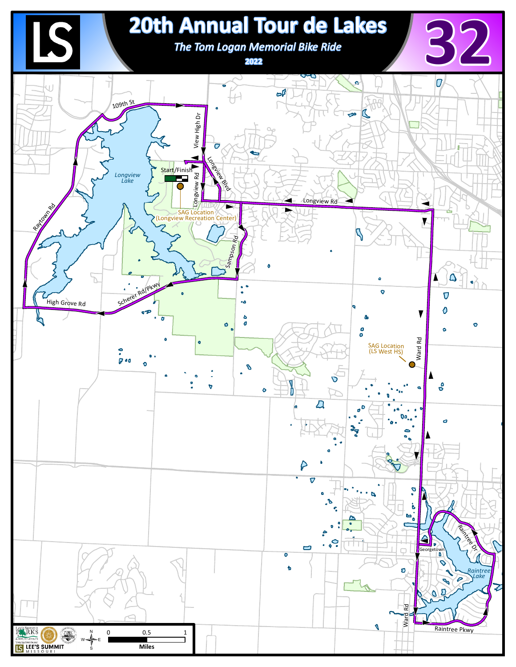